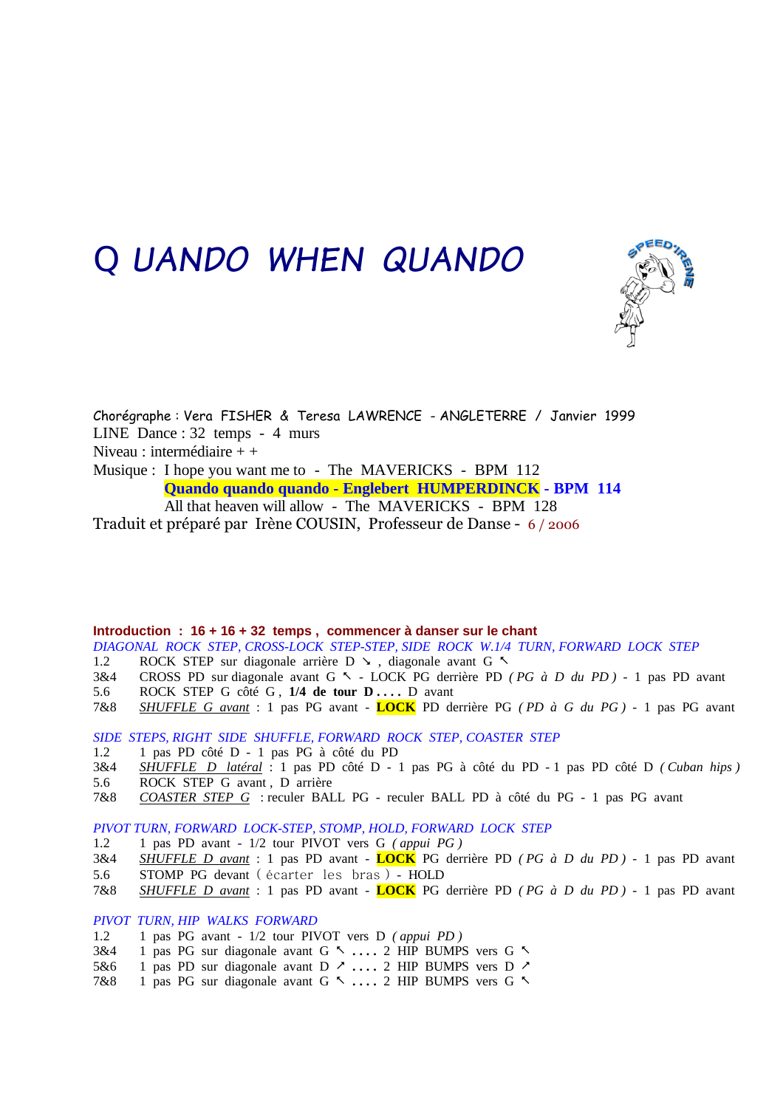# *QUANDO WHEN QUANDO*



Chorégraphe : Vera FISHER & Teresa LAWRENCE - ANGLETERRE / Janvier 1999 LINE Dance : 32 temps - 4 murs Niveau : intermédiaire + + Musique : I hope you want me to - The MAVERICKS - BPM 112 **Quando quando quando - Englebert HUMPERDINCK - BPM 114** 

All that heaven will allow - The MAVERICKS - BPM 128 Traduit et préparé par Irène COUSIN, Professeur de Danse - 6 / 2006

### **Introduction : 16 + 16 + 32 temps , commencer à danser sur le chant**

*DIAGONAL ROCK STEP, CROSS-LOCK STEP-STEP, SIDE ROCK W.1/4 TURN, FORWARD LOCK STEP*

- 1.2 ROCK STEP sur diagonale arrière D  $\lambda$ , diagonale avant G  $\lambda$
- 3&4 CROSS PD sur diagonale avant G LOCK PG derrière PD *( PG à D du PD )* 1 pas PD avant
- 5.6 ROCK STEP G côté G , **1/4 de tour D . . . .** D avant
- 7&8 *SHUFFLE G avant* : 1 pas PG avant **LOCK** PD derrière PG *( PD à G du PG )* 1 pas PG avant

*SIDE STEPS, RIGHT SIDE SHUFFLE, FORWARD ROCK STEP, COASTER STEP*

- 1.2 1 pas PD côté D 1 pas PG à côté du PD
- 3&4 *SHUFFLE D latéral* : 1 pas PD côté D 1 pas PG à côté du PD 1 pas PD côté D *( Cuban hips )*
- 5.6 ROCK STEP G avant , D arrière
- 7&8 *COASTER STEP G* : reculer BALL PG reculer BALL PD à côté du PG 1 pas PG avant

*PIVOT TURN, FORWARD LOCK-STEP, STOMP, HOLD, FORWARD LOCK STEP*

- 1.2 1 pas PD avant 1/2 tour PIVOT vers G *( appui PG )*
- 3&4 *SHUFFLE D avant* : 1 pas PD avant **LOCK** PG derrière PD *( PG à D du PD )* 1 pas PD avant
- 5.6 STOMP PG devant ( écarter les bras ) HOLD
- 7&8 *SHUFFLE D avant* : 1 pas PD avant **LOCK** PG derrière PD *( PG à D du PD )* 1 pas PD avant

# *PIVOT TURN, HIP WALKS FORWARD*

- 1.2 1 pas PG avant 1/2 tour PIVOT vers D *( appui PD )*
- 3&4 1 pas PG sur diagonale avant G **. . . .** 2 HIP BUMPS vers G
- 5&6 1 pas PD sur diagonale avant D **. . . .** 2 HIP BUMPS vers D
- 7&8 1 pas PG sur diagonale avant G **. . . .** 2 HIP BUMPS vers G